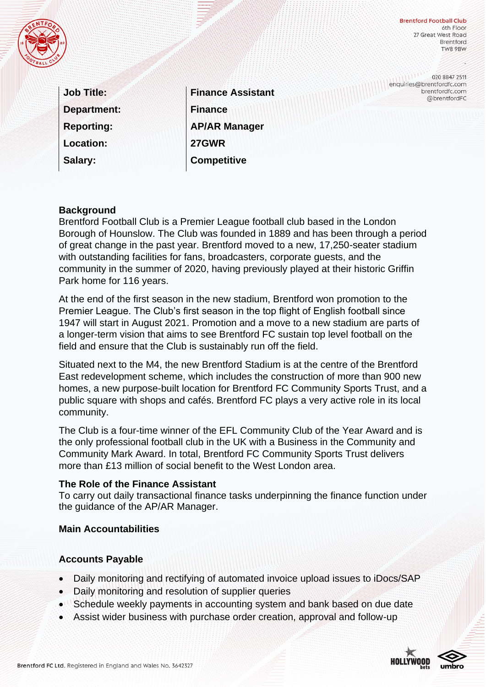

**Brentford Football Club** 6th Floor 27 Great West Road **Brentford** TW8 9BW

enquiries@brentfordfc.com

020 8847 2511

brentfordfc.com @brentfordFC

| <b>Job Title:</b>  |
|--------------------|
| <b>Department:</b> |
| <b>Reporting:</b>  |
| <b>Location:</b>   |
| Salary:            |

**Finance Assistant Finance AP/AR Manager 27GWR Competitive** 

#### **Background**

Brentford Football Club is a Premier League football club based in the London Borough of Hounslow. The Club was founded in 1889 and has been through a period of great change in the past year. Brentford moved to a new, 17,250-seater stadium with outstanding facilities for fans, broadcasters, corporate guests, and the community in the summer of 2020, having previously played at their historic Griffin Park home for 116 years.

At the end of the first season in the new stadium, Brentford won promotion to the Premier League. The Club's first season in the top flight of English football since 1947 will start in August 2021. Promotion and a move to a new stadium are parts of a longer-term vision that aims to see Brentford FC sustain top level football on the field and ensure that the Club is sustainably run off the field.

Situated next to the M4, the new Brentford Stadium is at the centre of the Brentford East redevelopment scheme, which includes the construction of more than 900 new homes, a new purpose-built location for Brentford FC Community Sports Trust, and a public square with shops and cafés. Brentford FC plays a very active role in its local community.

The Club is a four-time winner of the EFL Community Club of the Year Award and is the only professional football club in the UK with a Business in the Community and Community Mark Award. In total, Brentford FC Community Sports Trust delivers more than £13 million of social benefit to the West London area.

#### **The Role of the Finance Assistant**

To carry out daily transactional finance tasks underpinning the finance function under the guidance of the AP/AR Manager.

#### **Main Accountabilities**

#### **Accounts Payable**

- Daily monitoring and rectifying of automated invoice upload issues to iDocs/SAP
- Daily monitoring and resolution of supplier queries
- Schedule weekly payments in accounting system and bank based on due date
- Assist wider business with purchase order creation, approval and follow-up



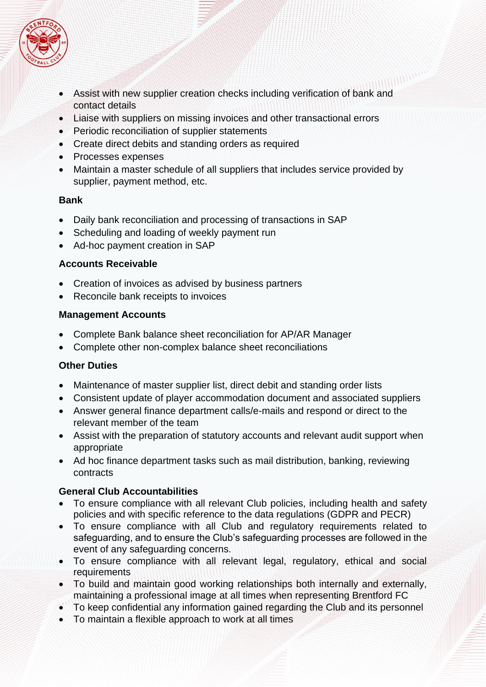

- Assist with new supplier creation checks including verification of bank and contact details
- Liaise with suppliers on missing invoices and other transactional errors
- Periodic reconciliation of supplier statements
- Create direct debits and standing orders as required
- Processes expenses
- Maintain a master schedule of all suppliers that includes service provided by supplier, payment method, etc.

### **Bank**

- Daily bank reconciliation and processing of transactions in SAP
- Scheduling and loading of weekly payment run
- Ad-hoc payment creation in SAP

## **Accounts Receivable**

- Creation of invoices as advised by business partners
- Reconcile bank receipts to invoices

### **Management Accounts**

- Complete Bank balance sheet reconciliation for AP/AR Manager
- Complete other non-complex balance sheet reconciliations

# **Other Duties**

- Maintenance of master supplier list, direct debit and standing order lists
- Consistent update of player accommodation document and associated suppliers
- Answer general finance department calls/e-mails and respond or direct to the relevant member of the team
- Assist with the preparation of statutory accounts and relevant audit support when appropriate
- Ad hoc finance department tasks such as mail distribution, banking, reviewing contracts

# **General Club Accountabilities**

- To ensure compliance with all relevant Club policies, including health and safety policies and with specific reference to the data regulations (GDPR and PECR)
- To ensure compliance with all Club and regulatory requirements related to safeguarding, and to ensure the Club's safeguarding processes are followed in the event of any safeguarding concerns.
- To ensure compliance with all relevant legal, regulatory, ethical and social requirements
- To build and maintain good working relationships both internally and externally, maintaining a professional image at all times when representing Brentford FC
- To keep confidential any information gained regarding the Club and its personnel
- To maintain a flexible approach to work at all times